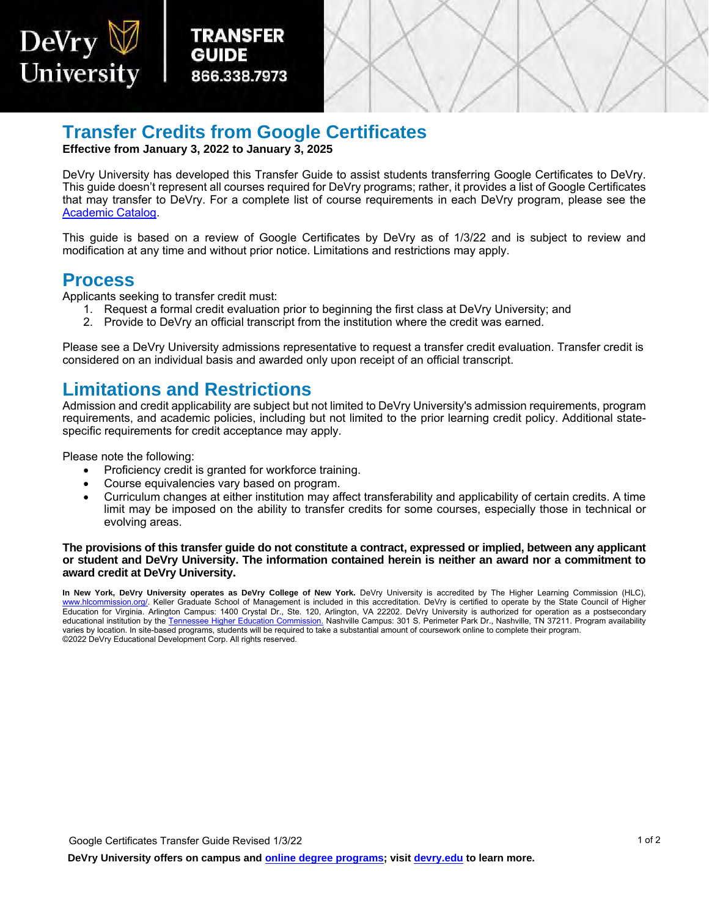

## **Transfer Credits from Google Certificates**

**Effective from January 3, 2022 to January 3, 2025** 

 DeVry University has developed this Transfer Guide to assist students transferring Google Certificates to DeVry. that may transfer to DeVry. For a complete list of course requirements in each DeVry program, please see the This guide doesn't represent all courses required for DeVry programs; rather, it provides a list of Google Certificates [Academic Catalog.](https://www.devry.edu/online-programs/academics/academic-catalog.html)

 This guide is based on a review of Google Certificates by DeVry as of 1/3/22 and is subject to review and modification at any time and without prior notice. Limitations and restrictions may apply.

#### **Process**

DeVry

University

Applicants seeking to transfer credit must:

- 1. Request a formal credit evaluation prior to beginning the first class at DeVry University; and
- 2. Provide to DeVry an official transcript from the institution where the credit was earned.

Please see a DeVry University admissions representative to request a transfer credit evaluation. Transfer credit is considered on an individual basis and awarded only upon receipt of an official transcript.

### **Limitations and Restrictions**

Admission and credit applicability are subject but not limited to DeVry University's admission requirements, program requirements, and academic policies, including but not limited to the prior learning credit policy. Additional statespecific requirements for credit acceptance may apply.

Please note the following:

- Proficiency credit is granted for workforce training.
- Course equivalencies vary based on program.
- limit may be imposed on the ability to transfer credits for some courses, especially those in technical or • Curriculum changes at either institution may affect transferability and applicability of certain credits. A time evolving areas.

#### **The provisions of this transfer guide do not constitute a contract, expressed or implied, between any applicant or student and DeVry University. The information contained herein is neither an award nor a commitment to award credit at DeVry University.**

 **In New York, DeVry University operates as DeVry College of New York.** DeVry University is accredited by The Higher Learning Commission (HLC), <u>www.hlcommission.org/</u>. Keller Graduate School of Management is included in this accreditation. DeVry is certified to operate by the State Council of Higher Education for Virginia. Arlington Campus: 1400 Crystal Dr., Ste. 120, Arlington, VA 22202. DeVry University is authorized for operation as a postsecondary educational institution by the <u>Tennessee Higher [Education Commission.](https://www.tn.gov/thec)</u> Nashville Campus: 301 S. Perimeter Park Dr., Nashville, TN 37211. Program availability varies by location. In site-based programs, students will be required to take a substantial amount of coursework online to complete their program. ©2022 DeVry Educational Development Corp. All rights reserved.